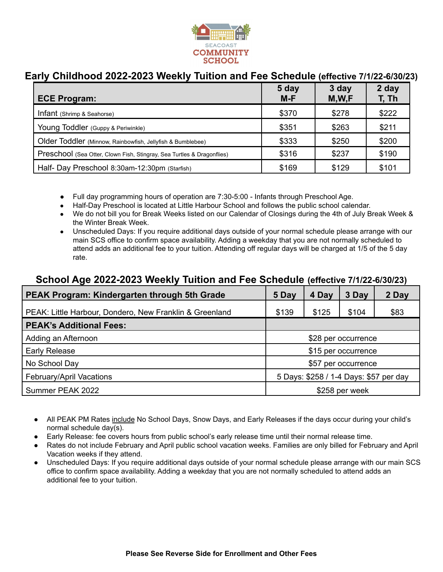

# **Early Childhood 2022-2023 Weekly Tuition and Fee Schedule (effective 7/1/22-6/30/23)**

| <b>ECE Program:</b>                                                    | 5 day<br>$M-F$ | 3 day<br>M,W,F | 2 day<br>T, Th |
|------------------------------------------------------------------------|----------------|----------------|----------------|
| Infant (Shrimp & Seahorse)                                             | \$370          | \$278          | \$222          |
| Young Toddler (Guppy & Periwinkle)                                     | \$351          | \$263          | \$211          |
| Older Toddler (Minnow, Rainbowfish, Jellyfish & Bumblebee)             | \$333          | \$250          | \$200          |
| Preschool (Sea Otter, Clown Fish, Stingray, Sea Turtles & Dragonflies) | \$316          | \$237          | \$190          |
| Half- Day Preschool 8:30am-12:30pm (Starfish)                          | \$169          | \$129          | \$101          |

- Full day programming hours of operation are 7:30-5:00 Infants through Preschool Age.
- Half-Day Preschool is located at Little Harbour School and follows the public school calendar.
- We do not bill you for Break Weeks listed on our Calendar of Closings during the 4th of July Break Week & the Winter Break Week.
- Unscheduled Days: If you require additional days outside of your normal schedule please arrange with our main SCS office to confirm space availability. Adding a weekday that you are not normally scheduled to attend adds an additional fee to your tuition. Attending off regular days will be charged at 1/5 of the 5 day rate.

### **School Age 2022-2023 Weekly Tuition and Fee Schedule (effective 7/1/22-6/30/23)**

| <b>PEAK Program: Kindergarten through 5th Grade</b>     | 5 Day                                  | 4 Day | 3 Day | 2 Day |  |
|---------------------------------------------------------|----------------------------------------|-------|-------|-------|--|
| PEAK: Little Harbour, Dondero, New Franklin & Greenland | \$139                                  | \$125 | \$104 | \$83  |  |
| <b>PEAK's Additional Fees:</b>                          |                                        |       |       |       |  |
| Adding an Afternoon                                     | \$28 per occurrence                    |       |       |       |  |
| <b>Early Release</b>                                    | \$15 per occurrence                    |       |       |       |  |
| No School Day                                           | \$57 per occurrence                    |       |       |       |  |
| February/April Vacations                                | 5 Days: \$258 / 1-4 Days: \$57 per day |       |       |       |  |
| Summer PEAK 2022                                        | \$258 per week                         |       |       |       |  |

- All PEAK PM Rates include No School Days, Snow Days, and Early Releases if the days occur during your child's normal schedule day(s).
- Early Release: fee covers hours from public school's early release time until their normal release time.
- Rates do not include February and April public school vacation weeks. Families are only billed for February and April Vacation weeks if they attend.
- Unscheduled Days: If you require additional days outside of your normal schedule please arrange with our main SCS office to confirm space availability. Adding a weekday that you are not normally scheduled to attend adds an additional fee to your tuition.